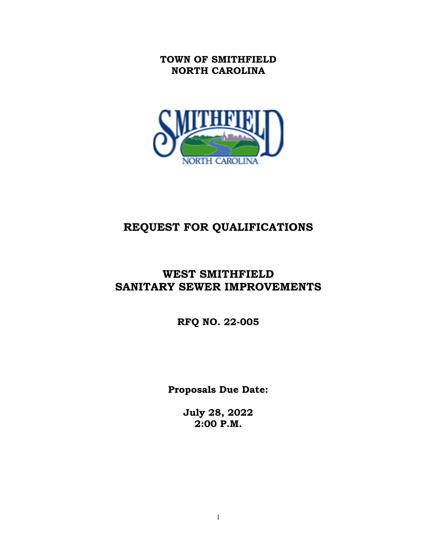**TOWN OF SMITHFIELD NORTH CAROLINA**



# **REQUEST FOR QUALIFICATIONS**

# **WEST SMITHFIELD SANITARY SEWER IMPROVEMENTS**

**RFQ NO. 22-005** 

**Proposals Due Date:**

**July 28, 2022 2:00 P.M.**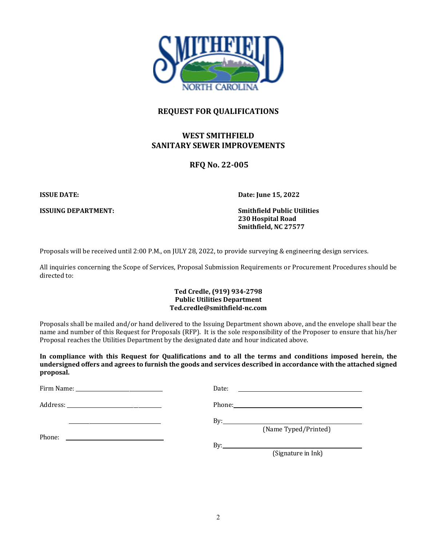

#### **REQUEST FOR QUALIFICATIONS**

#### **WEST SMITHFIELD SANITARY SEWER IMPROVEMENTS**

#### **RFQ No. 22-005**

**ISSUE DATE:** Date: June 15, 2022

**ISSUING DEPARTMENT: Smithfield Public Utilities 230 Hospital Road Smithfield, NC 27577** 

Proposals will be received until 2:00 P.M., on JULY 28, 2022, to provide surveying & engineering design services.

All inquiries concerning the Scope of Services, Proposal Submission Requirements or Procurement Procedures should be directed to:

#### **Ted Credle, (919) 934-2798 Public Utilities Department Ted.credle@smithfield-nc.com**

Proposals shall be mailed and/or hand delivered to the Issuing Department shown above, and the envelope shall bear the name and number of this Request for Proposals (RFP). It is the sole responsibility of the Proposer to ensure that his/her Proposal reaches the Utilities Department by the designated date and hour indicated above.

**In compliance with this Request for Qualifications and to all the terms and conditions imposed herein, the undersigned offers and agrees to furnish the goods and services described in accordance with the attached signed proposal.**

|        | Date:<br><u> Alexandria de la contrada de la contrada de la contrada de la contrada de la contrada de la contrada de la c</u> |
|--------|-------------------------------------------------------------------------------------------------------------------------------|
|        |                                                                                                                               |
|        | $\mathbf{B}$ y:<br>(Name Typed/Printed)                                                                                       |
| Phone: | $\mathbf{B}$ y:<br>(Signature in Ink)                                                                                         |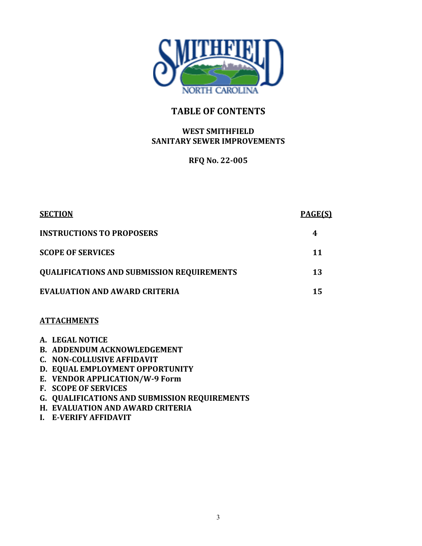

# **TABLE OF CONTENTS**

## **WEST SMITHFIELD SANITARY SEWER IMPROVEMENTS**

**RFQ No. 22-005** 

| <b>SECTION</b>                                    | PAGE(S) |
|---------------------------------------------------|---------|
| <b>INSTRUCTIONS TO PROPOSERS</b>                  | 4       |
| <b>SCOPE OF SERVICES</b>                          | 11      |
| <b>QUALIFICATIONS AND SUBMISSION REQUIREMENTS</b> | 13      |
| <b>EVALUATION AND AWARD CRITERIA</b>              |         |

# **ATTACHMENTS**

- **A. LEGAL NOTICE**
- **B. ADDENDUM ACKNOWLEDGEMENT**
- **C. NON-COLLUSIVE AFFIDAVIT**
- **D. EQUAL EMPLOYMENT OPPORTUNITY**
- **E. VENDOR APPLICATION/W-9 Form**
- **F. SCOPE OF SERVICES**
- **G. QUALIFICATIONS AND SUBMISSION REQUIREMENTS**
- **H. EVALUATION AND AWARD CRITERIA**
- **I. E-VERIFY AFFIDAVIT**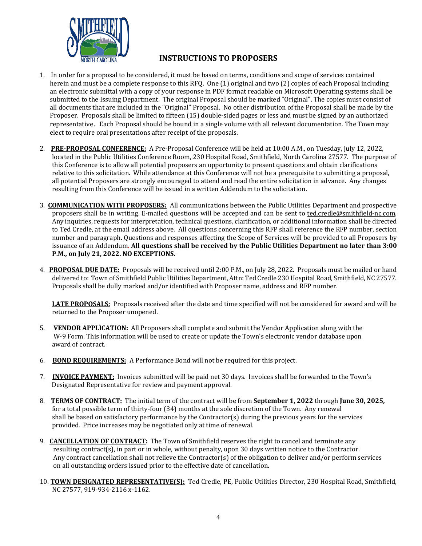

## **INSTRUCTIONS TO PROPOSERS**

- 1. In order for a proposal to be considered, it must be based on terms, conditions and scope of services contained herein and must be a complete response to this RFQ. One (1) original and two (2) copies of each Proposal including an electronic submittal with a copy of your response in PDF format readable on Microsoft Operating systems shall be submitted to the Issuing Department. The original Proposal should be marked "Original". The copies must consist of all documents that are included in the "Original" Proposal. No other distribution of the Proposal shall be made by the Proposer. Proposals shall be limited to fifteen (15) double-sided pages or less and must be signed by an authorized representative. Each Proposal should be bound in a single volume with all relevant documentation. The Town may elect to require oral presentations after receipt of the proposals.
- 2. **PRE-PROPOSAL CONFERENCE:** A Pre-Proposal Conference will be held at 10:00 A.M., on Tuesday, July 12, 2022, located in the Public Utilities Conference Room, 230 Hospital Road, Smithfield, North Carolina 27577. The purpose of this Conference is to allow all potential proposers an opportunity to present questions and obtain clarifications relative to this solicitation. While attendance at this Conference will not be a prerequisite to submitting a proposal, all potential Proposers are strongly encouraged to attend and read the entire solicitation in advance. Any changes resulting from this Conference will be issued in a written Addendum to the solicitation.
- 3. **COMMUNICATION WITH PROPOSERS:** All communications between the Public Utilities Department and prospective proposers shall be in writing. E-mailed questions will be accepted and can be sent to ted.credle@smithfield-nc.com. Any inquiries, requests for interpretation, technical questions, clarification, or additional information shall be directed to Ted Credle, at the email address above. All questions concerning this RFP shall reference the RFP number, section number and paragraph. Questions and responses affecting the Scope of Services will be provided to all Proposers by issuance of an Addendum. **All questions shall be received by the Public Utilities Department no later than 3:00 P.M., on July 21, 2022. NO EXCEPTIONS.**
- 4. **PROPOSAL DUE DATE:** Proposals will be received until 2:00 P.M., on July 28, 2022. Proposals must be mailed or hand delivered to: Town of Smithfield Public Utilities Department, Attn: Ted Credle 230 Hospital Road, Smithfield, NC 27577. Proposals shall be dully marked and/or identified with Proposer name, address and RFP number.

**LATE PROPOSALS:** Proposals received after the date and time specified will not be considered for award and will be returned to the Proposer unopened.

- 5. **VENDOR APPLICATION:** All Proposers shall complete and submit the Vendor Application along with the W-9 Form. This information will be used to create or update the Town's electronic vendor database upon award of contract.
- 6. **BOND REQUIREMENTS:** A Performance Bond will not be required for this project.
- 7. **INVOICE PAYMENT:** Invoices submitted will be paid net 30 days. Invoices shall be forwarded to the Town's Designated Representative for review and payment approval.
- 8. **TERMS OF CONTRACT:** The initial term of the contract will be from **September 1, 2022** through **June 30, 2025,** for a total possible term of thirty-four (34) months at the sole discretion of the Town. Any renewal shall be based on satisfactory performance by the Contractor(s) during the previous years for the services provided. Price increases may be negotiated only at time of renewal.
- 9. **CANCELLATION OF CONTRACT:** The Town of Smithfield reserves the right to cancel and terminate any resulting contract(s), in part or in whole, without penalty, upon 30 days written notice to the Contractor. Any contract cancellation shall not relieve the Contractor(s) of the obligation to deliver and/or perform services on all outstanding orders issued prior to the effective date of cancellation.
- 10. **TOWN DESIGNATED REPRESENTATIVE(S):** Ted Credle, PE, Public Utilities Director, 230 Hospital Road, Smithfield, NC 27577, 919-934-2116 x-1162.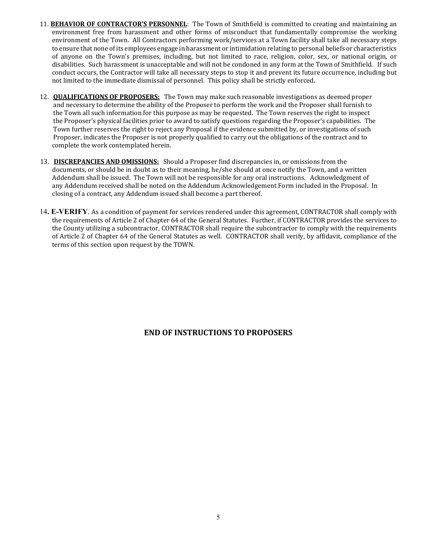- 11. **BEHAVIOR OF CONTRACTOR'S PERSONNEL**: The Town of Smithfield is committed to creating and maintaining an environment free from harassment and other forms of misconduct that fundamentally compromise the working environment of the Town. All Contractors performing work/services at a Town facility shall take all necessary steps to ensure that none of its employees engage in harassment or intimidation relating to personal beliefs or characteristics of anyone on the Town's premises, including, but not limited to race, religion, color, sex, or national origin, or disabilities. Such harassment is unacceptable and will not be condoned in any form at the Town of Smithfield. If such conduct occurs, the Contractor will take all necessary steps to stop it and prevent its future occurrence, including but not limited to the immediate dismissal of personnel. This policy shall be strictly enforced**.**
- 12. **QUALIFICATIONS OF PROPOSERS:** The Town may make such reasonable investigations as deemed proper and necessary to determine the ability of the Proposer to perform the work and the Proposer shall furnish to the Town all such information for this purpose as may be requested. The Town reserves the right to inspect the Proposer's physical facilities prior to award to satisfy questions regarding the Proposer's capabilities. The Town further reserves the right to reject any Proposal if the evidence submitted by, or investigations of such Proposer, indicates the Proposer is not properly qualified to carry out the obligations of the contract and to complete the work contemplated herein.
- 13. **DISCREPANCIES AND OMISSIONS:** Should a Proposer find discrepancies in, or omissions from the documents, or should be in doubt as to their meaning, he/she should at once notify the Town, and a written Addendum shall be issued. The Town will not be responsible for any oral instructions. Acknowledgment of any Addendum received shall be noted on the Addendum Acknowledgement Form included in the Proposal. In closing of a contract, any Addendum issued shall become a part thereof.
- 14**. E-VERIFY**. As a condition of payment for services rendered under this agreement, CONTRACTOR shall comply with the requirements of Article 2 of Chapter 64 of the General Statutes. Further, if CONTRACTOR provides the services to the County utilizing a subcontractor, CONTRACTOR shall require the subcontractor to comply with the requirements of Article 2 of Chapter 64 of the General Statutes as well. CONTRACTOR shall verify, by affidavit, compliance of the terms of this section upon request by the TOWN.

# **END OF INSTRUCTIONS TO PROPOSERS**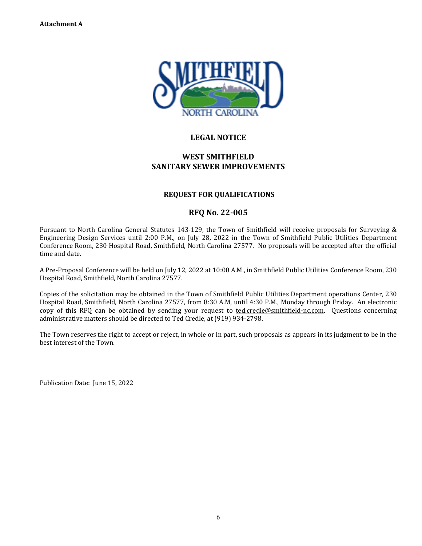

#### **LEGAL NOTICE**

#### **WEST SMITHFIELD SANITARY SEWER IMPROVEMENTS**

#### **REQUEST FOR QUALIFICATIONS**

#### **RFQ No. 22-005**

Pursuant to North Carolina General Statutes 143-129, the Town of Smithfield will receive proposals for Surveying & Engineering Design Services until 2:00 P.M., on July 28, 2022 in the Town of Smithfield Public Utilities Department Conference Room, 230 Hospital Road, Smithfield, North Carolina 27577. No proposals will be accepted after the official time and date.

A Pre-Proposal Conference will be held on July 12, 2022 at 10:00 A.M., in Smithfield Public Utilities Conference Room, 230 Hospital Road, Smithfield, North Carolina 27577.

Copies of the solicitation may be obtained in the Town of Smithfield Public Utilities Department operations Center, 230 Hospital Road, Smithfield, North Carolina 27577, from 8:30 A.M, until 4:30 P.M., Monday through Friday. An electronic copy of this RFQ can be obtained by sending your request to **ted.credle@smithfield-nc.com**. Questions concerning administrative matters should be directed to Ted Credle, at (919) 934-2798.

The Town reserves the right to accept or reject, in whole or in part, such proposals as appears in its judgment to be in the best interest of the Town.

Publication Date: June 15, 2022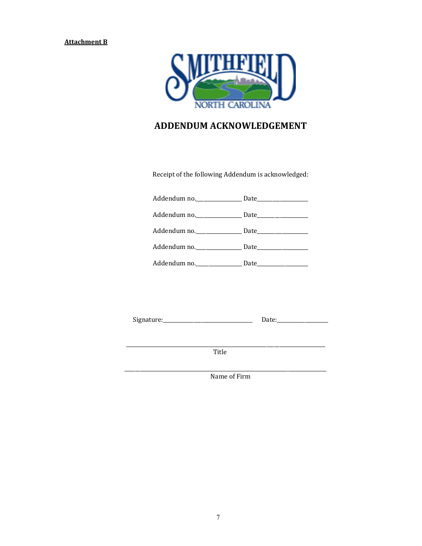

# **ADDENDUM ACKNOWLEDGEMENT**

Receipt of the following Addendum is acknowledged:

| Addendum no. _________________ Date___________________ |  |
|--------------------------------------------------------|--|
|                                                        |  |
|                                                        |  |
|                                                        |  |

Signature:\_\_\_\_\_\_\_\_\_\_\_\_\_\_\_\_\_\_\_\_\_\_\_\_\_\_\_\_\_\_\_\_\_\_\_ Date:\_\_\_\_\_\_\_\_\_\_\_\_\_\_\_\_\_\_\_\_

 \_\_\_\_\_\_\_\_\_\_\_\_\_\_\_\_\_\_\_\_\_\_\_\_\_\_\_\_\_\_\_\_\_\_\_\_\_\_\_\_\_\_\_\_\_\_\_\_\_\_\_\_\_\_\_\_\_\_\_\_\_\_\_\_\_\_\_\_\_\_\_\_\_\_\_\_\_\_ Title

 \_\_\_\_\_\_\_\_\_\_\_\_\_\_\_\_\_\_\_\_\_\_\_\_\_\_\_\_\_\_\_\_\_\_\_\_\_\_\_\_\_\_\_\_\_\_\_\_\_\_\_\_\_\_\_\_\_\_\_\_\_\_\_\_\_\_\_\_\_\_\_\_\_\_\_\_\_\_\_ Name of Firm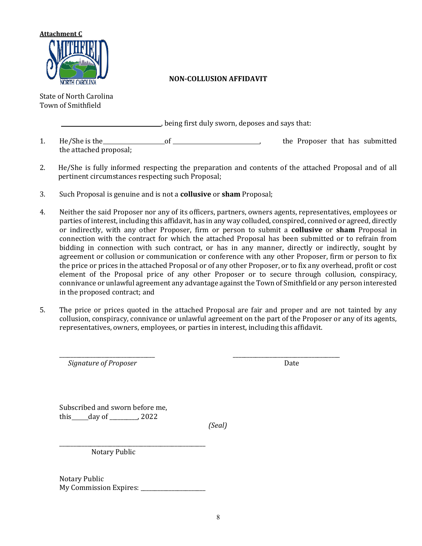

#### **NON-COLLUSION AFFIDAVIT**

State of North Carolina Town of Smithfield

, being first duly sworn, deposes and says that:

- 1. He/She is the of , the Proposer that has submitted the attached proposal;
- 2. He/She is fully informed respecting the preparation and contents of the attached Proposal and of all pertinent circumstances respecting such Proposal;
- 3. Such Proposal is genuine and is not a **collusive** or **sham** Proposal;
- 4. Neither the said Proposer nor any of its officers, partners, owners agents, representatives, employees or parties of interest, including this affidavit, has in any way colluded, conspired, connived or agreed, directly or indirectly, with any other Proposer, firm or person to submit a **collusive** or **sham** Proposal in connection with the contract for which the attached Proposal has been submitted or to refrain from bidding in connection with such contract, or has in any manner, directly or indirectly, sought by agreement or collusion or communication or conference with any other Proposer, firm or person to fix the price or prices in the attached Proposal or of any other Proposer, or to fix any overhead, profit or cost element of the Proposal price of any other Proposer or to secure through collusion, conspiracy, connivance or unlawful agreement any advantage against the Town of Smithfield or any person interested in the proposed contract; and
- 5. The price or prices quoted in the attached Proposal are fair and proper and are not tainted by any collusion, conspiracy, connivance or unlawful agreement on the part of the Proposer or any of its agents, representatives, owners, employees, or parties in interest, including this affidavit.

\_\_\_\_\_\_\_\_\_\_\_\_\_\_\_\_\_\_\_\_\_\_\_\_\_\_\_\_\_\_\_\_\_\_ \_\_\_\_\_\_\_\_\_\_\_\_\_\_\_\_\_\_\_\_\_\_\_\_\_\_\_\_\_\_\_\_\_\_\_\_\_\_  *Signature of Proposer* Date

Subscribed and sworn before me, this day of 1,2022

*(Seal)*

\_\_\_\_\_\_\_\_\_\_\_\_\_\_\_\_\_\_\_\_\_\_\_\_\_\_\_\_\_\_\_\_\_\_\_\_\_\_\_\_\_\_\_\_\_\_\_\_\_\_\_\_ Notary Public

Notary Public My Commission Expires: \_\_\_\_\_\_\_\_\_\_\_\_\_\_\_\_\_\_\_\_\_\_\_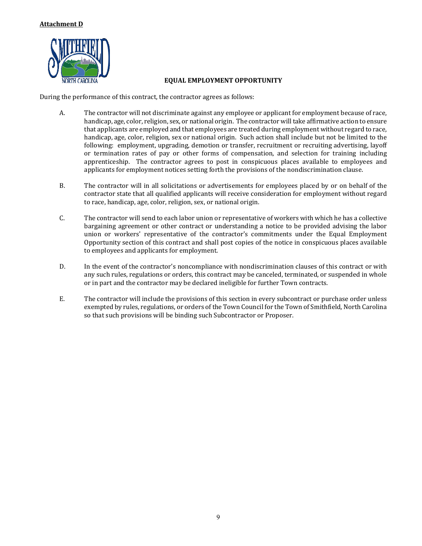

#### **EQUAL EMPLOYMENT OPPORTUNITY**

During the performance of this contract, the contractor agrees as follows:

- A. The contractor will not discriminate against any employee or applicant for employment because of race, handicap, age, color, religion, sex, or national origin. The contractor will take affirmative action to ensure that applicants are employed and that employees are treated during employment without regard to race, handicap, age, color, religion, sex or national origin. Such action shall include but not be limited to the following: employment, upgrading, demotion or transfer, recruitment or recruiting advertising, layoff or termination rates of pay or other forms of compensation, and selection for training including apprenticeship. The contractor agrees to post in conspicuous places available to employees and applicants for employment notices setting forth the provisions of the nondiscrimination clause.
- B. The contractor will in all solicitations or advertisements for employees placed by or on behalf of the contractor state that all qualified applicants will receive consideration for employment without regard to race, handicap, age, color, religion, sex, or national origin.
- C. The contractor will send to each labor union or representative of workers with which he has a collective bargaining agreement or other contract or understanding a notice to be provided advising the labor union or workers' representative of the contractor's commitments under the Equal Employment Opportunity section of this contract and shall post copies of the notice in conspicuous places available to employees and applicants for employment.
- D. In the event of the contractor's noncompliance with nondiscrimination clauses of this contract or with any such rules, regulations or orders, this contract may be canceled, terminated, or suspended in whole or in part and the contractor may be declared ineligible for further Town contracts.
- E. The contractor will include the provisions of this section in every subcontract or purchase order unless exempted by rules, regulations, or orders of the Town Council for the Town of Smithfield, North Carolina so that such provisions will be binding such Subcontractor or Proposer.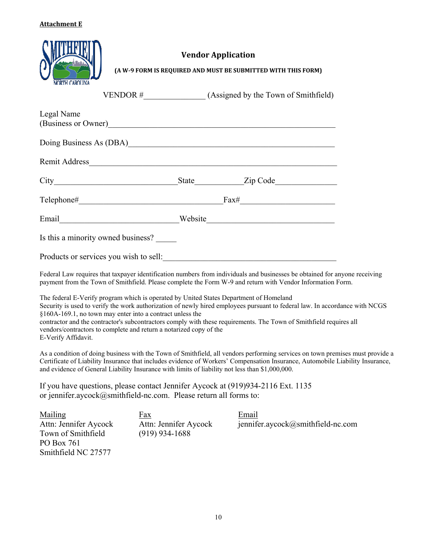#### **Attachment E**

| NORTH CAROLINA      |                                                                                                                                                                                                                                                                                                                                                                                                                                                                                | <b>Vendor Application</b> | (A W-9 FORM IS REQUIRED AND MUST BE SUBMITTED WITH THIS FORM) |  |
|---------------------|--------------------------------------------------------------------------------------------------------------------------------------------------------------------------------------------------------------------------------------------------------------------------------------------------------------------------------------------------------------------------------------------------------------------------------------------------------------------------------|---------------------------|---------------------------------------------------------------|--|
|                     |                                                                                                                                                                                                                                                                                                                                                                                                                                                                                |                           |                                                               |  |
| Legal Name          | (Business or Owner)                                                                                                                                                                                                                                                                                                                                                                                                                                                            |                           |                                                               |  |
|                     |                                                                                                                                                                                                                                                                                                                                                                                                                                                                                |                           |                                                               |  |
|                     |                                                                                                                                                                                                                                                                                                                                                                                                                                                                                |                           |                                                               |  |
|                     |                                                                                                                                                                                                                                                                                                                                                                                                                                                                                |                           |                                                               |  |
|                     |                                                                                                                                                                                                                                                                                                                                                                                                                                                                                |                           |                                                               |  |
|                     |                                                                                                                                                                                                                                                                                                                                                                                                                                                                                |                           |                                                               |  |
|                     | Is this a minority owned business?                                                                                                                                                                                                                                                                                                                                                                                                                                             |                           |                                                               |  |
|                     |                                                                                                                                                                                                                                                                                                                                                                                                                                                                                |                           |                                                               |  |
|                     | Federal Law requires that taxpayer identification numbers from individuals and businesses be obtained for anyone receiving<br>payment from the Town of Smithfield. Please complete the Form W-9 and return with Vendor Information Form.                                                                                                                                                                                                                                       |                           |                                                               |  |
| E-Verify Affidavit. | The federal E-Verify program which is operated by United States Department of Homeland<br>Security is used to verify the work authorization of newly hired employees pursuant to federal law. In accordance with NCGS<br>§160A-169.1, no town may enter into a contract unless the<br>contractor and the contractor's subcontractors comply with these requirements. The Town of Smithfield requires all<br>vendors/contractors to complete and return a notarized copy of the |                           |                                                               |  |
|                     | As a condition of doing business with the Town of Smithfield, all vendors performing services on town premises must provide a<br>Certificate of Liability Insurance that includes evidence of Workers' Compensation Insurance, Automobile Liability Insurance,<br>and evidence of General Liability Insurance with limits of liability not less than \$1,000,000.                                                                                                              |                           |                                                               |  |

If you have questions, please contact Jennifer Aycock at (919)934-2116 Ext. 1135 or jennifer.aycock@smithfield-nc.com. Please return all forms to:

Mailing Fax Email<br>Attn: Jennifer Aycock Attn: Jennifer Aycock jennife Town of Smithfield PO Box 761 Smithfield NC 27577

Attn: Jennifer Aycock Attn: Jennifer Aycock jennifer.aycock@smithfield-nc.com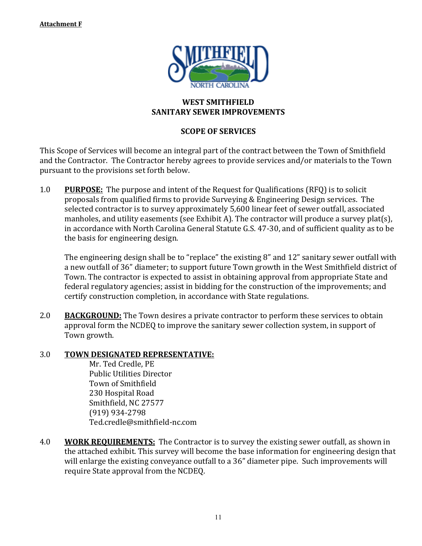

#### **WEST SMITHFIELD SANITARY SEWER IMPROVEMENTS**

# **SCOPE OF SERVICES**

This Scope of Services will become an integral part of the contract between the Town of Smithfield and the Contractor. The Contractor hereby agrees to provide services and/or materials to the Town pursuant to the provisions set forth below.

1.0 **PURPOSE:** The purpose and intent of the Request for Qualifications (RFQ) is to solicit proposals from qualified firms to provide Surveying & Engineering Design services. The selected contractor is to survey approximately 5,600 linear feet of sewer outfall, associated manholes, and utility easements (see Exhibit A). The contractor will produce a survey plat(s), in accordance with North Carolina General Statute G.S. 47-30, and of sufficient quality as to be the basis for engineering design.

The engineering design shall be to "replace" the existing 8" and 12" sanitary sewer outfall with a new outfall of 36" diameter; to support future Town growth in the West Smithfield district of Town. The contractor is expected to assist in obtaining approval from appropriate State and federal regulatory agencies; assist in bidding for the construction of the improvements; and certify construction completion, in accordance with State regulations.

2.0 **BACKGROUND:** The Town desires a private contractor to perform these services to obtain approval form the NCDEQ to improve the sanitary sewer collection system, in support of Town growth.

### 3.0 **TOWN DESIGNATED REPRESENTATIVE:**

 Mr. Ted Credle, PE Public Utilities Director Town of Smithfield 230 Hospital Road Smithfield, NC 27577 (919) 934-2798 Ted.credle@smithfield-nc.com

4.0 **WORK REQUIREMENTS:** The Contractor is to survey the existing sewer outfall, as shown in the attached exhibit. This survey will become the base information for engineering design that will enlarge the existing conveyance outfall to a 36" diameter pipe. Such improvements will require State approval from the NCDEQ.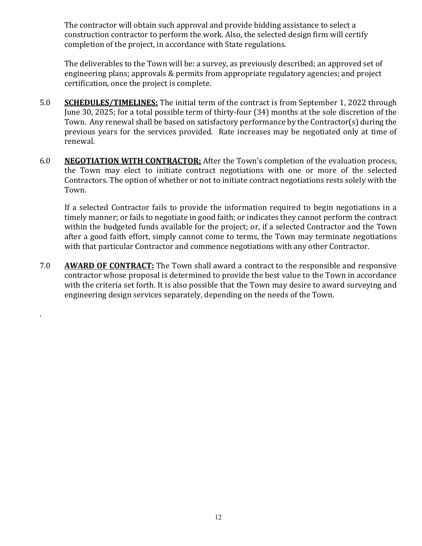The contractor will obtain such approval and provide bidding assistance to select a construction contractor to perform the work. Also, the selected design firm will certify completion of the project, in accordance with State regulations.

The deliverables to the Town will be: a survey, as previously described; an approved set of engineering plans; approvals & permits from appropriate regulatory agencies; and project certification, once the project is complete.

- 5.0 **SCHEDULES/TIMELINES:** The initial term of the contract is from September 1, 2022 through June 30, 2025; for a total possible term of thirty-four (34) months at the sole discretion of the Town. Any renewal shall be based on satisfactory performance by the Contractor(s) during the previous years for the services provided. Rate increases may be negotiated only at time of renewal.
- 6.0 **NEGOTIATION WITH CONTRACTOR:** After the Town's completion of the evaluation process, the Town may elect to initiate contract negotiations with one or more of the selected Contractors. The option of whether or not to initiate contract negotiations rests solely with the Town.

If a selected Contractor fails to provide the information required to begin negotiations in a timely manner; or fails to negotiate in good faith; or indicates they cannot perform the contract within the budgeted funds available for the project; or, if a selected Contractor and the Town after a good faith effort, simply cannot come to terms, the Town may terminate negotiations with that particular Contractor and commence negotiations with any other Contractor.

7.0 **AWARD OF CONTRACT:** The Town shall award a contract to the responsible and responsive contractor whose proposal is determined to provide the best value to the Town in accordance with the criteria set forth. It is also possible that the Town may desire to award surveying and engineering design services separately, depending on the needs of the Town.

.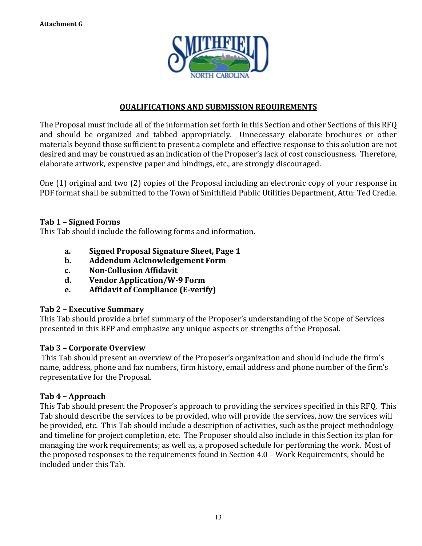

#### **QUALIFICATIONS AND SUBMISSION REQUIREMENTS**

The Proposal must include all of the information set forth in this Section and other Sections of this RFQ and should be organized and tabbed appropriately. Unnecessary elaborate brochures or other materials beyond those sufficient to present a complete and effective response to this solution are not desired and may be construed as an indication of the Proposer's lack of cost consciousness. Therefore, elaborate artwork, expensive paper and bindings, etc., are strongly discouraged.

One (1) original and two (2) copies of the Proposal including an electronic copy of your response in PDF format shall be submitted to the Town of Smithfield Public Utilities Department, Attn: Ted Credle.

#### **Tab 1 – Signed Forms**

This Tab should include the following forms and information.

- **a. Signed Proposal Signature Sheet, Page 1**
- **b. Addendum Acknowledgement Form**
- **c. Non-Collusion Affidavit**
- **d. Vendor Application/W-9 Form**
- **e. Affidavit of Compliance (E-verify)**

### **Tab 2 – Executive Summary**

This Tab should provide a brief summary of the Proposer's understanding of the Scope of Services presented in this RFP and emphasize any unique aspects or strengths of the Proposal.

### **Tab 3 – Corporate Overview**

This Tab should present an overview of the Proposer's organization and should include the firm's name, address, phone and fax numbers, firm history, email address and phone number of the firm's representative for the Proposal.

#### **Tab 4 – Approach**

This Tab should present the Proposer's approach to providing the services specified in this RFQ. This Tab should describe the services to be provided, who will provide the services, how the services will be provided, etc. This Tab should include a description of activities, such as the project methodology and timeline for project completion, etc. The Proposer should also include in this Section its plan for managing the work requirements; as well as, a proposed schedule for performing the work. Most of the proposed responses to the requirements found in Section 4.0 – Work Requirements, should be included under this Tab.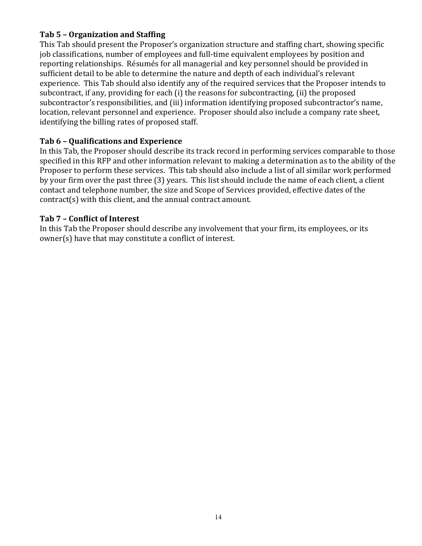# **Tab 5 – Organization and Staffing**

This Tab should present the Proposer's organization structure and staffing chart, showing specific job classifications, number of employees and full-time equivalent employees by position and reporting relationships. Résumés for all managerial and key personnel should be provided in sufficient detail to be able to determine the nature and depth of each individual's relevant experience. This Tab should also identify any of the required services that the Proposer intends to subcontract, if any, providing for each (i) the reasons for subcontracting, (ii) the proposed subcontractor's responsibilities, and (iii) information identifying proposed subcontractor's name, location, relevant personnel and experience. Proposer should also include a company rate sheet, identifying the billing rates of proposed staff.

# **Tab 6 – Qualifications and Experience**

In this Tab, the Proposer should describe its track record in performing services comparable to those specified in this RFP and other information relevant to making a determination as to the ability of the Proposer to perform these services. This tab should also include a list of all similar work performed by your firm over the past three (3) years. This list should include the name of each client, a client contact and telephone number, the size and Scope of Services provided, effective dates of the contract(s) with this client, and the annual contract amount.

### **Tab 7 – Conflict of Interest**

In this Tab the Proposer should describe any involvement that your firm, its employees, or its owner(s) have that may constitute a conflict of interest.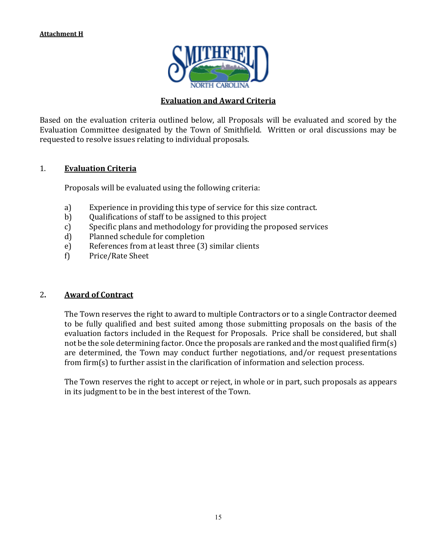

## **Evaluation and Award Criteria**

Based on the evaluation criteria outlined below, all Proposals will be evaluated and scored by the Evaluation Committee designated by the Town of Smithfield. Written or oral discussions may be requested to resolve issues relating to individual proposals.

#### 1. **Evaluation Criteria**

Proposals will be evaluated using the following criteria:

- a) Experience in providing this type of service for this size contract.<br>b) Oualifications of staff to be assigned to this project
- 
- b) Qualifications of staff to be assigned to this project<br>c) Specific plans and methodology for providing the p c) Specific plans and methodology for providing the proposed services<br>d) Planned schedule for completion
- d) Planned schedule for completion<br>e) References from at least three (3)
- e) References from at least three (3) similar clients<br>f) Price/Rate Sheet
- Price/Rate Sheet

#### 2**. Award of Contract**

The Town reserves the right to award to multiple Contractors or to a single Contractor deemed to be fully qualified and best suited among those submitting proposals on the basis of the evaluation factors included in the Request for Proposals. Price shall be considered, but shall not be the sole determining factor. Once the proposals are ranked and the most qualified firm(s) are determined, the Town may conduct further negotiations, and/or request presentations from firm(s) to further assist in the clarification of information and selection process.

The Town reserves the right to accept or reject, in whole or in part, such proposals as appears in its judgment to be in the best interest of the Town.